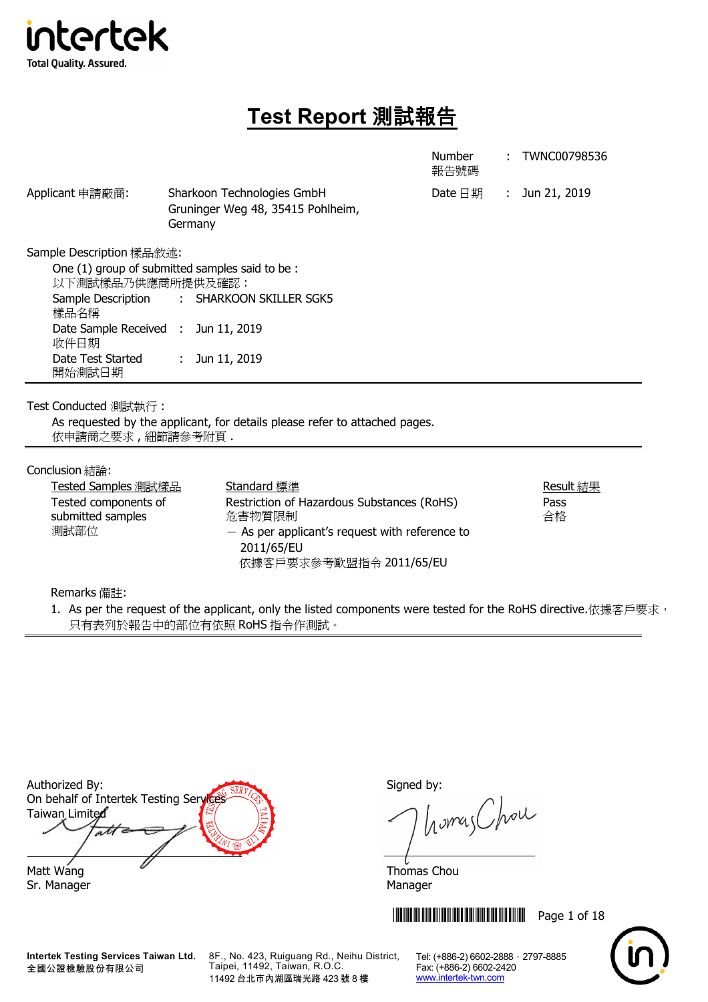

# **Test Report** 測試報告

|                                                                                                                                                           |                                                                                                                                                                  | Number<br>報告號碼     | TWNC00798536            |
|-----------------------------------------------------------------------------------------------------------------------------------------------------------|------------------------------------------------------------------------------------------------------------------------------------------------------------------|--------------------|-------------------------|
| Applicant 申請廠商:                                                                                                                                           | Sharkoon Technologies GmbH<br>Gruninger Weg 48, 35415 Pohlheim,<br>Germany                                                                                       | Date $\boxminus$ 期 | : Jun 21, 2019          |
| Sample Description 樣品敘述:<br>以下測試樣品乃供應商所提供及確認:<br>Sample Description<br>樣品名稱<br>Date Sample Received : Jun 11, 2019<br>收件日期<br>Date Test Started<br>開始測試日期 | One (1) group of submitted samples said to be:<br>SHARKOON SKILLER SGK5<br>$\mathcal{L}^{\text{max}}$<br>Jun 11, 2019<br>÷.                                      |                    |                         |
| Test Conducted 測試執行:<br>依申請商之要求,細節請參考附頁.                                                                                                                  | As requested by the applicant, for details please refer to attached pages.                                                                                       |                    |                         |
| Conclusion 結論:<br>Tested Samples 測試樣品<br>Tested components of<br>submitted samples<br>測試部位                                                                | Standard 標準<br>Restriction of Hazardous Substances (RoHS)<br>危害物質限制<br>$-$ As per applicant's request with reference to<br>2011/65/EU<br>依據客戶要求參考歐盟指令 2011/65/EU |                    | Result 結果<br>Pass<br>合格 |

Remarks 備註:

1. As per the request of the applicant, only the listed components were tested for the RoHS directive.依據客戶要求, 只有表列於報告中的部位有依照 RoHS 指令作測試。

Authorized By: Signed by: On behalf of Intertek Testing Service Taiwan Limited ati Matt Wang **Matt Wang** Matt Wang Matt Wang Matt Wang Matt Wang Matt Wang Matt Wang Matt Wang Matt Wang Matt Wang M

**Intertek Testing Services Taiwan Ltd.** 全國公證檢驗股份有限公司

8F., No. 423, Ruiguang Rd., Neihu District, Taipei, 11492, Taiwan, R.O.C. 11492 台北市內湖區瑞光路 423 號 8 樓

homas Chou

**THEFT IN SET OF 18** 



Sr. Manager Manager Manager Manager Manager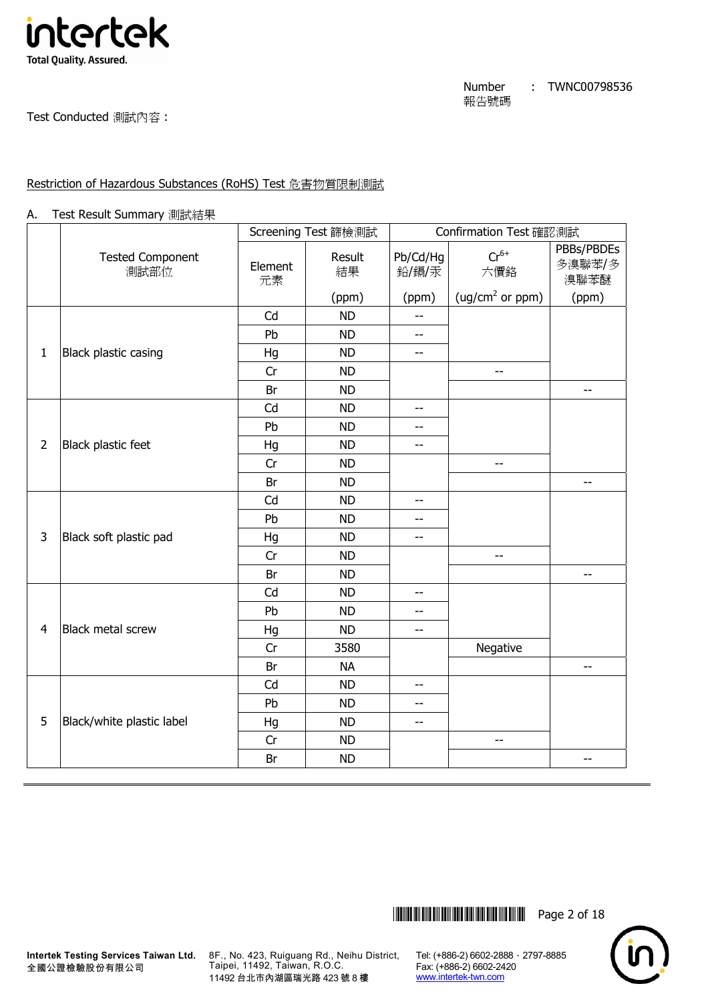

Test Conducted 測試內容 :

## Restriction of Hazardous Substances (RoHS) Test 危害物質限制測試

#### A. Test Result Summary 測試結果

|                |                                 |               | Screening Test 篩檢測試 |                          | Confirmation Test 確認測試                |                              |
|----------------|---------------------------------|---------------|---------------------|--------------------------|---------------------------------------|------------------------------|
|                | <b>Tested Component</b><br>測試部位 | Element<br>元素 | Result<br>結果        | Pb/Cd/Hg<br>鉛/鎘/汞        | $Cr^{6+}$<br>六價鉻                      | PBBs/PBDEs<br>多溴聯苯/多<br>溴聯苯醚 |
|                |                                 |               | (ppm)               | (ppm)                    | (ug/cm <sup>2</sup> or ppm)           | (ppm)                        |
|                |                                 | Cd            | <b>ND</b>           | $\overline{a}$           |                                       |                              |
|                |                                 | Pb            | <b>ND</b>           | $\overline{a}$           |                                       |                              |
| $\mathbf{1}$   | Black plastic casing            | Hg            | <b>ND</b>           | $-$                      |                                       |                              |
|                |                                 | Cr            | <b>ND</b>           |                          | --                                    |                              |
|                |                                 | Br            | <b>ND</b>           |                          |                                       | --                           |
|                |                                 | Cd            | <b>ND</b>           | $-$                      |                                       |                              |
|                |                                 | Pb            | <b>ND</b>           | $-$                      |                                       |                              |
| $\overline{2}$ | Black plastic feet              | Hg            | <b>ND</b>           | $-$                      |                                       |                              |
|                |                                 | Cr            | <b>ND</b>           |                          | --                                    |                              |
|                |                                 | Br            | <b>ND</b>           |                          |                                       | $-$                          |
|                |                                 | Cd            | <b>ND</b>           | $\overline{a}$           |                                       |                              |
|                |                                 | Pb            | <b>ND</b>           | $\overline{\phantom{a}}$ |                                       |                              |
| 3              | Black soft plastic pad          | Hg            | <b>ND</b>           | $\overline{a}$           |                                       |                              |
|                |                                 | Cr            | <b>ND</b>           |                          | --                                    |                              |
|                |                                 | Br            | <b>ND</b>           |                          |                                       | --                           |
|                |                                 | Cd            | <b>ND</b>           | $-$                      |                                       |                              |
|                |                                 | Pb            | <b>ND</b>           | $-$                      |                                       |                              |
| $\overline{4}$ | <b>Black metal screw</b>        | Hg            | <b>ND</b>           | $\overline{\phantom{m}}$ |                                       |                              |
|                |                                 | Cr            | 3580                |                          | Negative                              |                              |
|                |                                 | Br            | <b>NA</b>           |                          |                                       | $- -$                        |
|                |                                 | Cd            | <b>ND</b>           | $-$                      |                                       |                              |
|                |                                 | Pb            | <b>ND</b>           | --                       |                                       |                              |
| 5              | Black/white plastic label       | Hg            | <b>ND</b>           | $-$                      |                                       |                              |
|                |                                 | Cr            | <b>ND</b>           |                          | $\hspace{0.05cm}$ – $\hspace{0.05cm}$ |                              |
|                |                                 | Br            | <b>ND</b>           |                          |                                       | $-$                          |



**Intertek Testing Services Taiwan Ltd.** 全國公證檢驗股份有限公司

8F., No. 423, Ruiguang Rd., Neihu District, Taipei, 11492, Taiwan, R.O.C. 11492 台北市內湖區瑞光路 423 號 8 樓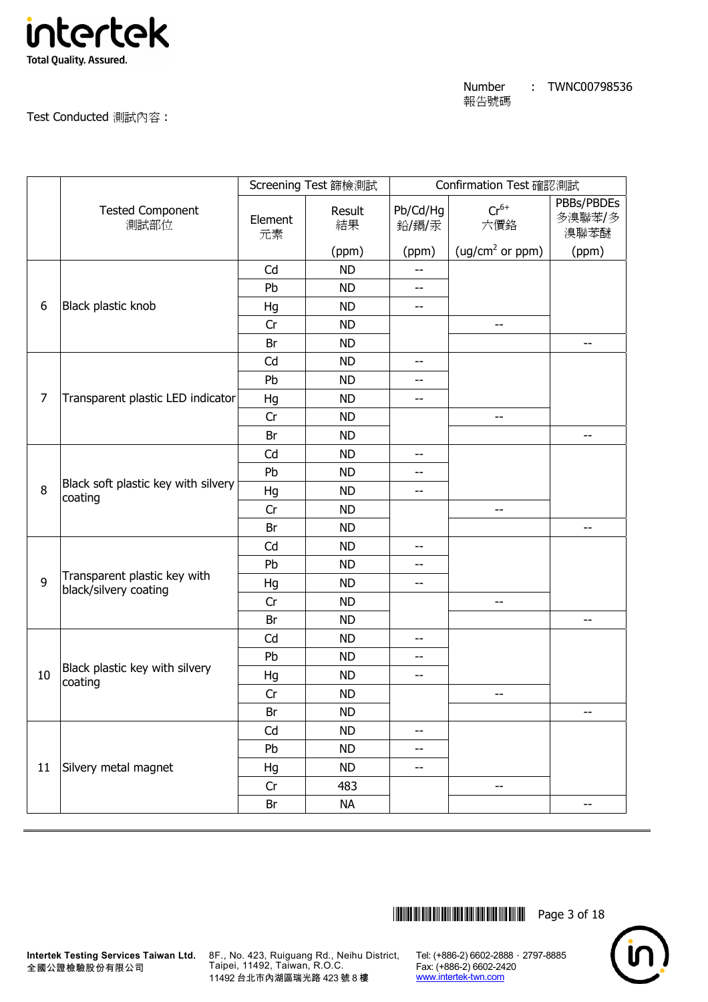

Test Conducted 測試內容 :

|                |                                                       |               | Screening Test 篩檢測試 |                          | Confirmation Test 確認測試      |                              |
|----------------|-------------------------------------------------------|---------------|---------------------|--------------------------|-----------------------------|------------------------------|
|                | <b>Tested Component</b><br>測試部位                       | Element<br>元素 | Result<br>結果        | Pb/Cd/Hg<br>鉛/鎘/汞        | $Cr^{6+}$<br>六價鉻            | PBBs/PBDEs<br>多溴聯苯/多<br>溴聯苯醚 |
|                |                                                       |               | (ppm)               | (ppm)                    | (ug/cm <sup>2</sup> or ppm) | (ppm)                        |
|                |                                                       | Cd            | <b>ND</b>           | $-$                      |                             |                              |
|                |                                                       | Pb            | <b>ND</b>           | $-$                      |                             |                              |
| 6              | Black plastic knob                                    | Hg            | <b>ND</b>           | $\overline{\phantom{a}}$ |                             |                              |
|                |                                                       | Cr            | <b>ND</b>           |                          | $-$                         |                              |
|                |                                                       | Br            | <b>ND</b>           |                          |                             | $-$                          |
|                |                                                       | Cd            | <b>ND</b>           | --                       |                             |                              |
|                |                                                       | Pb            | <b>ND</b>           | $-$                      |                             |                              |
| $\overline{7}$ | Transparent plastic LED indicator                     | Hg            | <b>ND</b>           | $- -$                    |                             |                              |
|                |                                                       | Cr            | <b>ND</b>           |                          | $-$                         |                              |
|                |                                                       | Br            | <b>ND</b>           |                          |                             | $-$                          |
|                |                                                       | Cd            | <b>ND</b>           | $-$                      |                             |                              |
|                | Black soft plastic key with silvery<br>coating        | Pb            | <b>ND</b>           | --                       |                             |                              |
| 8              |                                                       | Hg            | <b>ND</b>           | --                       |                             |                              |
|                |                                                       | Cr            | <b>ND</b>           |                          | $-$                         |                              |
|                |                                                       | Br            | <b>ND</b>           |                          |                             | $-$                          |
|                |                                                       | Cd            | <b>ND</b>           | --                       |                             |                              |
|                |                                                       | Pb            | <b>ND</b>           | $- -$                    |                             |                              |
| 9              | Transparent plastic key with<br>black/silvery coating | Hg            | <b>ND</b>           | --                       |                             |                              |
|                |                                                       | Cr            | <b>ND</b>           |                          | --                          |                              |
|                |                                                       | Br            | <b>ND</b>           |                          |                             | $\overline{\phantom{m}}$     |
|                |                                                       | Cd            | <b>ND</b>           | --                       |                             |                              |
|                |                                                       | Pb            | <b>ND</b>           | --                       |                             |                              |
| $10$           | Black plastic key with silvery<br>coating             | Hg            | <b>ND</b>           | $\overline{\phantom{m}}$ |                             |                              |
|                |                                                       | Cr            | <b>ND</b>           |                          | $-$                         |                              |
|                |                                                       | Br            | <b>ND</b>           |                          |                             | $- -$                        |
|                |                                                       | Cd            | <b>ND</b>           | --                       |                             |                              |
|                |                                                       | Pb            | <b>ND</b>           | --                       |                             |                              |
| 11             | Silvery metal magnet                                  | Hg            | <b>ND</b>           | $-$                      |                             |                              |
|                |                                                       | Cr            | 483                 |                          | --                          |                              |
|                |                                                       | Br            | <b>NA</b>           |                          |                             | $\overline{\phantom{a}}$     |



8F., No. 423, Ruiguang Rd., Neihu District, Taipei, 11492, Taiwan, R.O.C. 11492 台北市內湖區瑞光路 423 號 8 樓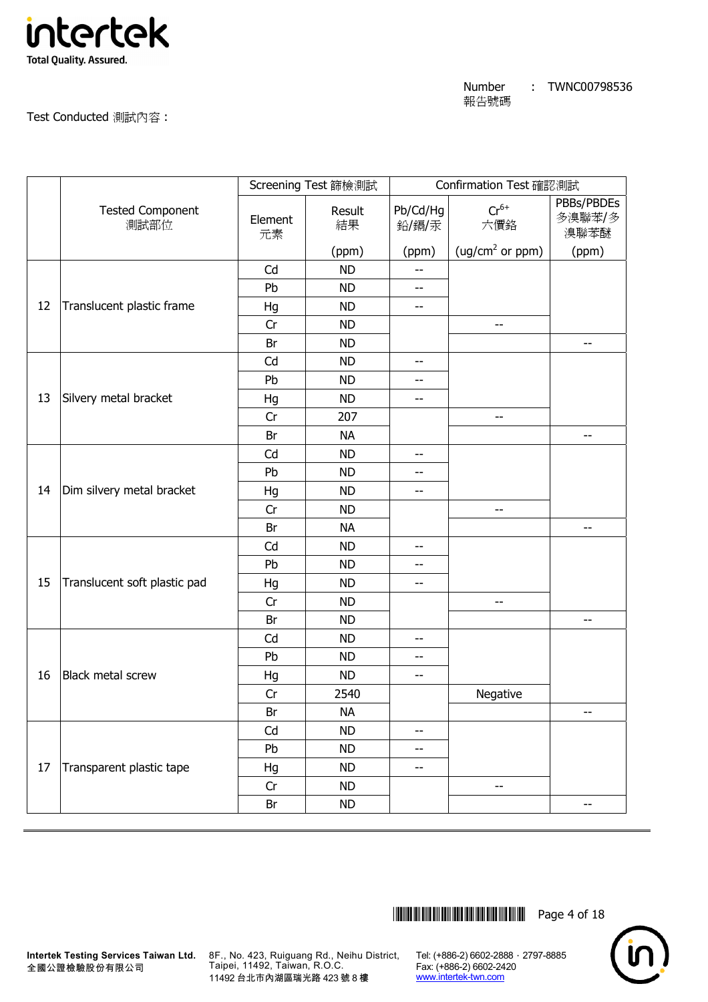

Test Conducted 測試內容 :

|    |                                 |               | Screening Test 篩檢測試 |                          | Confirmation Test 確認測試      |                              |
|----|---------------------------------|---------------|---------------------|--------------------------|-----------------------------|------------------------------|
|    | <b>Tested Component</b><br>測試部位 | Element<br>元素 | Result<br>結果        | Pb/Cd/Hg<br>鉛/鎘/汞        | $Cr^{6+}$<br>六價鉻            | PBBs/PBDEs<br>多溴聯苯/多<br>溴聯苯醚 |
|    |                                 |               | (ppm)               | (ppm)                    | (ug/cm <sup>2</sup> or ppm) | (ppm)                        |
|    |                                 | Cd            | <b>ND</b>           | $-$                      |                             |                              |
|    |                                 | Pb            | <b>ND</b>           | $\overline{\phantom{m}}$ |                             |                              |
| 12 | Translucent plastic frame       | Hg            | <b>ND</b>           | $\overline{\phantom{a}}$ |                             |                              |
|    |                                 | Cr            | <b>ND</b>           |                          | --                          |                              |
|    |                                 | Br            | <b>ND</b>           |                          |                             | --                           |
|    |                                 | Cd            | <b>ND</b>           | $-$                      |                             |                              |
|    |                                 | Pb            | <b>ND</b>           | $- -$                    |                             |                              |
| 13 | Silvery metal bracket           | Hg            | <b>ND</b>           | --                       |                             |                              |
|    |                                 | Cr            | 207                 |                          | $-$                         |                              |
|    |                                 | Br            | <b>NA</b>           |                          |                             | $- -$                        |
|    |                                 | Cd            | <b>ND</b>           | $\overline{\phantom{m}}$ |                             |                              |
|    |                                 | Pb            | <b>ND</b>           | $-$                      |                             |                              |
| 14 | Dim silvery metal bracket       | Hg            | <b>ND</b>           | --                       |                             |                              |
|    |                                 | Cr            | <b>ND</b>           |                          | --                          |                              |
|    |                                 | Br            | <b>NA</b>           |                          |                             | $\overline{\phantom{m}}$     |
|    |                                 | Cd            | <b>ND</b>           | $-$                      |                             |                              |
|    |                                 | Pb            | <b>ND</b>           | $- -$                    |                             |                              |
| 15 | Translucent soft plastic pad    | Hg            | <b>ND</b>           | --                       |                             |                              |
|    |                                 | Cr            | <b>ND</b>           |                          | $\qquad \qquad -$           |                              |
|    |                                 | Br            | <b>ND</b>           |                          |                             | $-$                          |
|    |                                 | Cd            | <b>ND</b>           | $\overline{\phantom{m}}$ |                             |                              |
|    |                                 | Pb            | <b>ND</b>           | $- -$                    |                             |                              |
| 16 | <b>Black metal screw</b>        | Hg            | <b>ND</b>           | $-$                      |                             |                              |
|    |                                 | Cr            | 2540                |                          | Negative                    |                              |
|    |                                 | Br            | <b>NA</b>           |                          |                             | $-\, -$                      |
|    |                                 | Cd            | <b>ND</b>           | $- -$                    |                             |                              |
|    |                                 | Pb            | <b>ND</b>           | $\overline{\phantom{m}}$ |                             |                              |
| 17 | Transparent plastic tape        | Hg            | <b>ND</b>           | --                       |                             |                              |
|    |                                 | Cr            | <b>ND</b>           |                          | $- -$                       |                              |
|    |                                 | Br            | ND                  |                          |                             | $-$                          |



8F., No. 423, Ruiguang Rd., Neihu District, Taipei, 11492, Taiwan, R.O.C. 11492 台北市內湖區瑞光路 423 號 8 樓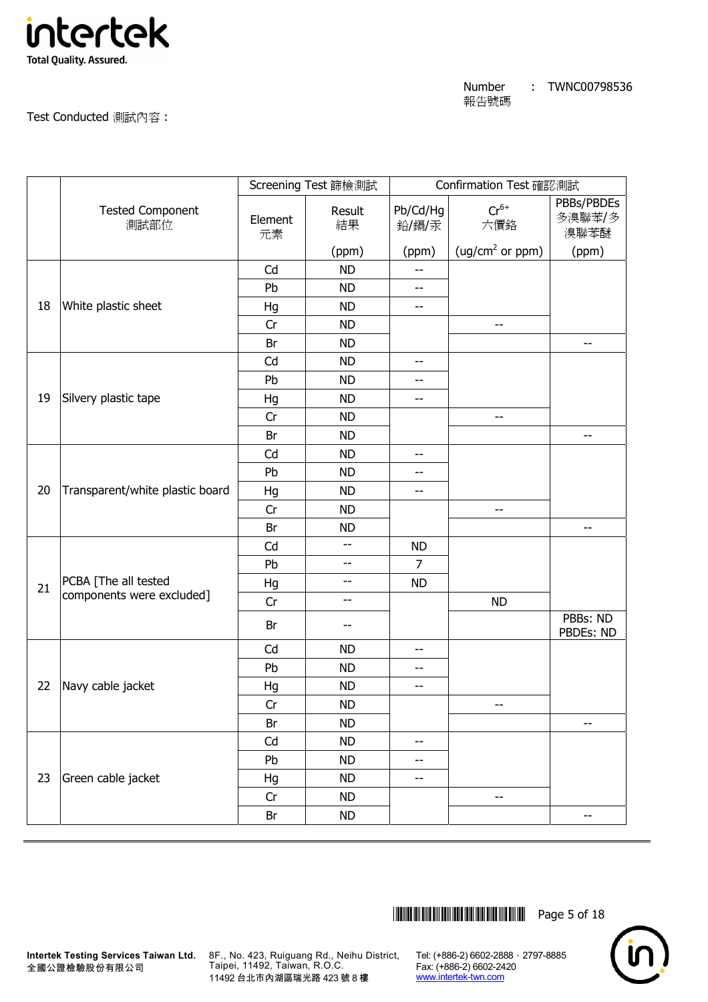

Test Conducted 測試內容 :

|    |                                 |               | Screening Test 篩檢測試 |                          | Confirmation Test 確認測試      |                              |
|----|---------------------------------|---------------|---------------------|--------------------------|-----------------------------|------------------------------|
|    | <b>Tested Component</b><br>測試部位 | Element<br>元素 | Result<br>結果        | Pb/Cd/Hg<br>鉛/鎘/汞        | $Cr^{6+}$<br>六價鉻            | PBBs/PBDEs<br>多溴聯苯/多<br>溴聯苯醚 |
|    |                                 |               | (ppm)               | (ppm)                    | (ug/cm <sup>2</sup> or ppm) | (ppm)                        |
|    |                                 | Cd            | <b>ND</b>           | $-$                      |                             |                              |
|    |                                 | Pb            | <b>ND</b>           | $-$                      |                             |                              |
| 18 | White plastic sheet             | Hg            | <b>ND</b>           | $- -$                    |                             |                              |
|    |                                 | Cr            | <b>ND</b>           |                          | --                          |                              |
|    |                                 | Br            | <b>ND</b>           |                          |                             | --                           |
|    |                                 | Cd            | <b>ND</b>           | --                       |                             |                              |
|    |                                 | Pb            | <b>ND</b>           | --                       |                             |                              |
| 19 | Silvery plastic tape            | Hg            | <b>ND</b>           | --                       |                             |                              |
|    |                                 | Cr            | <b>ND</b>           |                          | $\overline{\phantom{a}}$    |                              |
|    |                                 | Br            | <b>ND</b>           |                          |                             | $\overline{\phantom{m}}$     |
|    |                                 | Cd            | <b>ND</b>           | $-$                      |                             |                              |
|    |                                 | Pb            | <b>ND</b>           | $- -$                    |                             |                              |
| 20 | Transparent/white plastic board | Hg            | <b>ND</b>           | $\overline{\phantom{m}}$ |                             |                              |
|    |                                 | Cr            | <b>ND</b>           |                          | $-$                         |                              |
|    |                                 | Br            | <b>ND</b>           |                          |                             | $\overline{\phantom{m}}$     |
|    |                                 | Cd            | --                  | <b>ND</b>                |                             |                              |
|    |                                 | Pb            | $-$                 | 7                        |                             |                              |
| 21 | PCBA [The all tested            | Hg            | --                  | <b>ND</b>                |                             |                              |
|    | components were excluded]       | Cr            | --                  |                          | <b>ND</b>                   |                              |
|    |                                 | Br            | --                  |                          |                             | PBBs: ND<br>PBDEs: ND        |
|    |                                 | Cd            | <b>ND</b>           | $-$                      |                             |                              |
|    |                                 | Pb            | <b>ND</b>           | --                       |                             |                              |
| 22 | Navy cable jacket               | Hg            | <b>ND</b>           | $-$                      |                             |                              |
|    |                                 | Cr            | <b>ND</b>           |                          | --                          |                              |
|    |                                 | Br            | <b>ND</b>           |                          |                             | --                           |
|    |                                 | Cd            | <b>ND</b>           | --                       |                             |                              |
|    |                                 | Pb            | <b>ND</b>           | --                       |                             |                              |
| 23 | Green cable jacket              | Hg            | <b>ND</b>           | $- -$                    |                             |                              |
|    |                                 | Cr            | <b>ND</b>           |                          | --                          |                              |
|    |                                 | Br            | <b>ND</b>           |                          |                             | --                           |



8F., No. 423, Ruiguang Rd., Neihu District, Taipei, 11492, Taiwan, R.O.C. 11492 台北市內湖區瑞光路 423 號 8 樓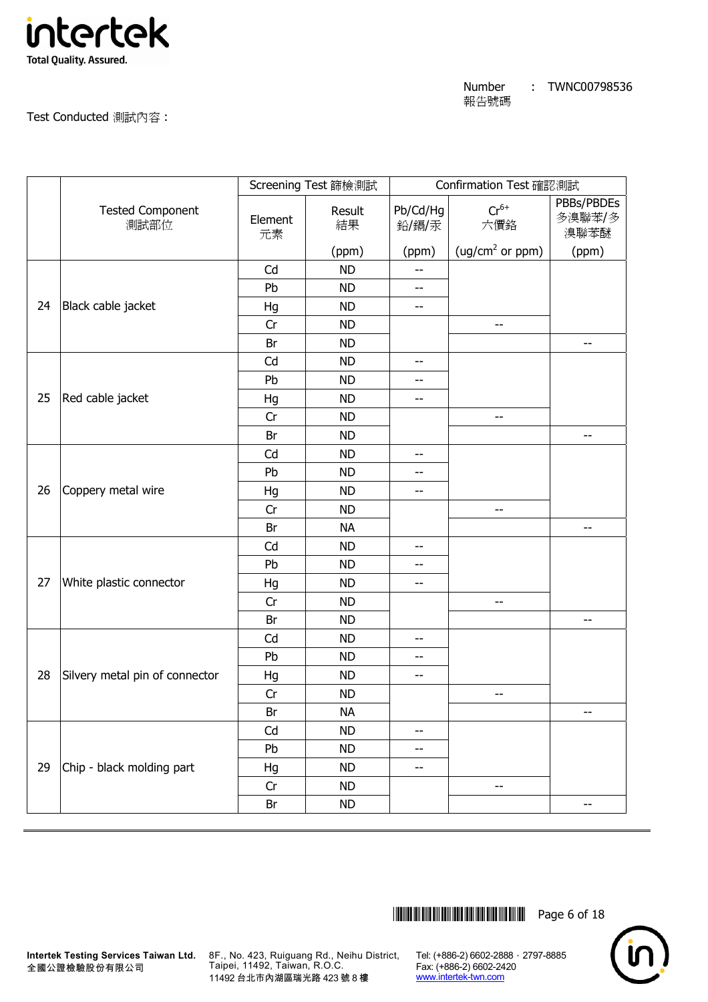

Test Conducted 測試內容 :

|    |                                 |               | Screening Test 篩檢測試 |                          | Confirmation Test 確認測試      |                              |
|----|---------------------------------|---------------|---------------------|--------------------------|-----------------------------|------------------------------|
|    | <b>Tested Component</b><br>測試部位 | Element<br>元素 | Result<br>結果        | Pb/Cd/Hg<br>鉛/鎘/汞        | $Cr^{6+}$<br>六價鉻            | PBBs/PBDEs<br>多溴聯苯/多<br>溴聯苯醚 |
|    |                                 |               | (ppm)               | (ppm)                    | (ug/cm <sup>2</sup> or ppm) | (ppm)                        |
|    |                                 | Cd            | <b>ND</b>           | --                       |                             |                              |
|    |                                 | Pb            | <b>ND</b>           | $-$                      |                             |                              |
| 24 | Black cable jacket              | Hg            | <b>ND</b>           | $- -$                    |                             |                              |
|    |                                 | Cr            | <b>ND</b>           |                          | --                          |                              |
|    |                                 | Br            | <b>ND</b>           |                          |                             | --                           |
|    |                                 | Cd            | <b>ND</b>           | --                       |                             |                              |
|    |                                 | Pb            | <b>ND</b>           | --                       |                             |                              |
| 25 | Red cable jacket                | Hg            | <b>ND</b>           | --                       |                             |                              |
|    |                                 | Cr            | <b>ND</b>           |                          | $\overline{\phantom{a}}$    |                              |
|    |                                 | Br            | <b>ND</b>           |                          |                             | $\overline{\phantom{a}}$     |
|    |                                 | Cd            | <b>ND</b>           | $-$                      |                             |                              |
|    |                                 | Pb            | <b>ND</b>           | $- -$                    |                             |                              |
| 26 | Coppery metal wire              | Hg            | <b>ND</b>           | --                       |                             |                              |
|    |                                 | Cr            | <b>ND</b>           |                          | $-$                         |                              |
|    |                                 | Br            | <b>NA</b>           |                          |                             | $\overline{\phantom{m}}$     |
|    |                                 | Cd            | <b>ND</b>           | $-$                      |                             |                              |
|    |                                 | Pb            | <b>ND</b>           | $- -$                    |                             |                              |
| 27 | White plastic connector         | Hg            | <b>ND</b>           | --                       |                             |                              |
|    |                                 | Cr            | <b>ND</b>           |                          | --                          |                              |
|    |                                 | Br            | <b>ND</b>           |                          |                             | $- -$                        |
|    |                                 | Cd            | <b>ND</b>           | $\overline{\phantom{m}}$ |                             |                              |
|    |                                 | Pb            | <b>ND</b>           | $- -$                    |                             |                              |
| 28 | Silvery metal pin of connector  | Hg            | <b>ND</b>           | $-$                      |                             |                              |
|    |                                 | Cr            | <b>ND</b>           |                          | $-\!$                       |                              |
|    |                                 | Br            | <b>NA</b>           |                          |                             | $-\, -$                      |
|    |                                 | Cd            | <b>ND</b>           | --                       |                             |                              |
|    |                                 | Pb            | <b>ND</b>           | --                       |                             |                              |
| 29 | Chip - black molding part       | Hg            | <b>ND</b>           | --                       |                             |                              |
|    |                                 | Cr            | <b>ND</b>           |                          | --                          |                              |
|    |                                 | Br            | <b>ND</b>           |                          |                             | $-$                          |



8F., No. 423, Ruiguang Rd., Neihu District, Taipei, 11492, Taiwan, R.O.C. 11492 台北市內湖區瑞光路 423 號 8 樓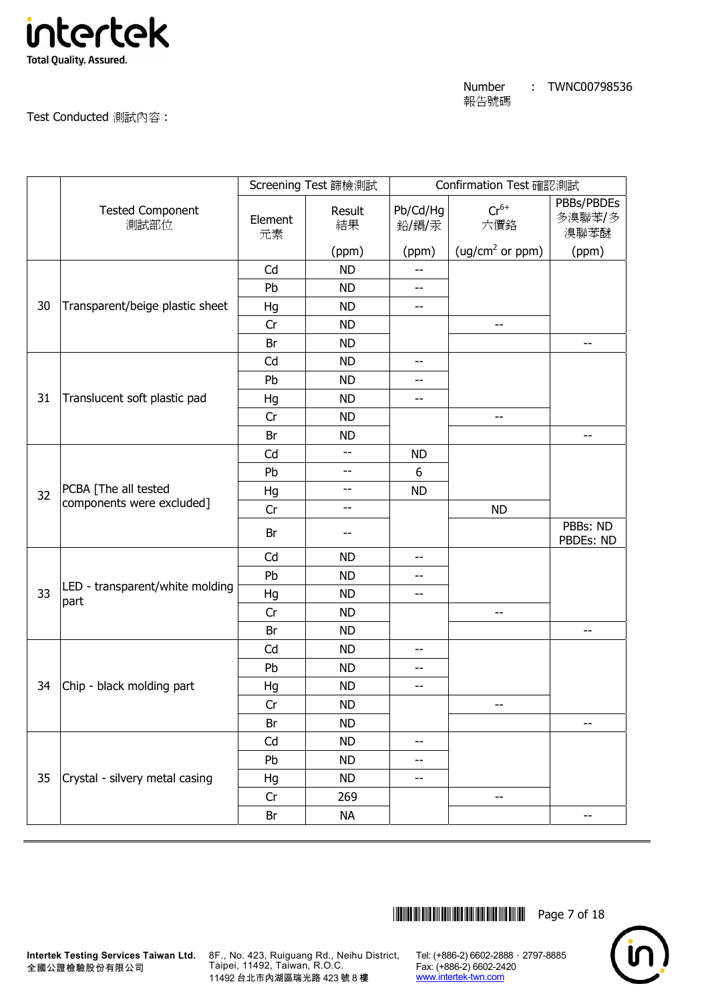

Test Conducted 測試內容 :

|    |                                                   |               | Screening Test 篩檢測試 |                   | Confirmation Test 確認測試      |                              |
|----|---------------------------------------------------|---------------|---------------------|-------------------|-----------------------------|------------------------------|
|    | <b>Tested Component</b><br>測試部位                   | Element<br>元素 | Result<br>結果        | Pb/Cd/Hg<br>鉛/鎘/汞 | $Cr^{6+}$<br>六價鉻            | PBBs/PBDEs<br>多溴聯苯/多<br>溴聯苯醚 |
|    |                                                   |               | (ppm)               | (ppm)             | (ug/cm <sup>2</sup> or ppm) | (ppm)                        |
|    |                                                   | Cd            | <b>ND</b>           | --                |                             |                              |
|    |                                                   | Pb            | <b>ND</b>           | $-$               |                             |                              |
| 30 | Transparent/beige plastic sheet                   | Hg            | <b>ND</b>           | $- -$             |                             |                              |
|    |                                                   | Cr            | <b>ND</b>           |                   | --                          |                              |
|    |                                                   | Br            | <b>ND</b>           |                   |                             | $-$                          |
|    |                                                   | Cd            | <b>ND</b>           | $-$               |                             |                              |
|    |                                                   | Pb            | <b>ND</b>           | --                |                             |                              |
| 31 | Translucent soft plastic pad                      | Hg            | <b>ND</b>           | --                |                             |                              |
|    |                                                   | Cr            | <b>ND</b>           |                   | $-$                         |                              |
|    |                                                   | Br            | <b>ND</b>           |                   |                             | --                           |
|    |                                                   | Cd            | $-$                 | <b>ND</b>         |                             |                              |
|    | PCBA [The all tested<br>components were excluded] | Pb            | --                  | 6                 |                             |                              |
| 32 |                                                   | Hg            | $-$                 | <b>ND</b>         |                             |                              |
|    |                                                   | Cr            | --                  |                   | <b>ND</b>                   |                              |
|    |                                                   | Br            |                     |                   |                             | PBBs: ND<br>PBDEs: ND        |
|    |                                                   | Cd            | <b>ND</b>           | --                |                             |                              |
|    |                                                   | Pb            | <b>ND</b>           | $-$               |                             |                              |
| 33 | LED - transparent/white molding<br>part           | Hg            | <b>ND</b>           | --                |                             |                              |
|    |                                                   | Cr            | <b>ND</b>           |                   | --                          |                              |
|    |                                                   | Br            | <b>ND</b>           |                   |                             | $\overline{\phantom{m}}$     |
|    |                                                   | Cd            | <b>ND</b>           | --                |                             |                              |
|    |                                                   | Pb            | <b>ND</b>           | $-$               |                             |                              |
| 34 | Chip - black molding part                         | Hg            | <b>ND</b>           | --                |                             |                              |
|    |                                                   | Cr            | <b>ND</b>           |                   | --                          |                              |
|    |                                                   | Br            | <b>ND</b>           |                   |                             | --                           |
|    |                                                   | Cd            | <b>ND</b>           | --                |                             |                              |
|    |                                                   | Pb            | <b>ND</b>           | --                |                             |                              |
| 35 | Crystal - silvery metal casing                    | Hg            | <b>ND</b>           | --                |                             |                              |
|    |                                                   | Cr            | 269                 |                   | --                          |                              |
|    |                                                   | Br            | <b>NA</b>           |                   |                             | --                           |



8F., No. 423, Ruiguang Rd., Neihu District, Taipei, 11492, Taiwan, R.O.C. 11492 台北市內湖區瑞光路 423 號 8 樓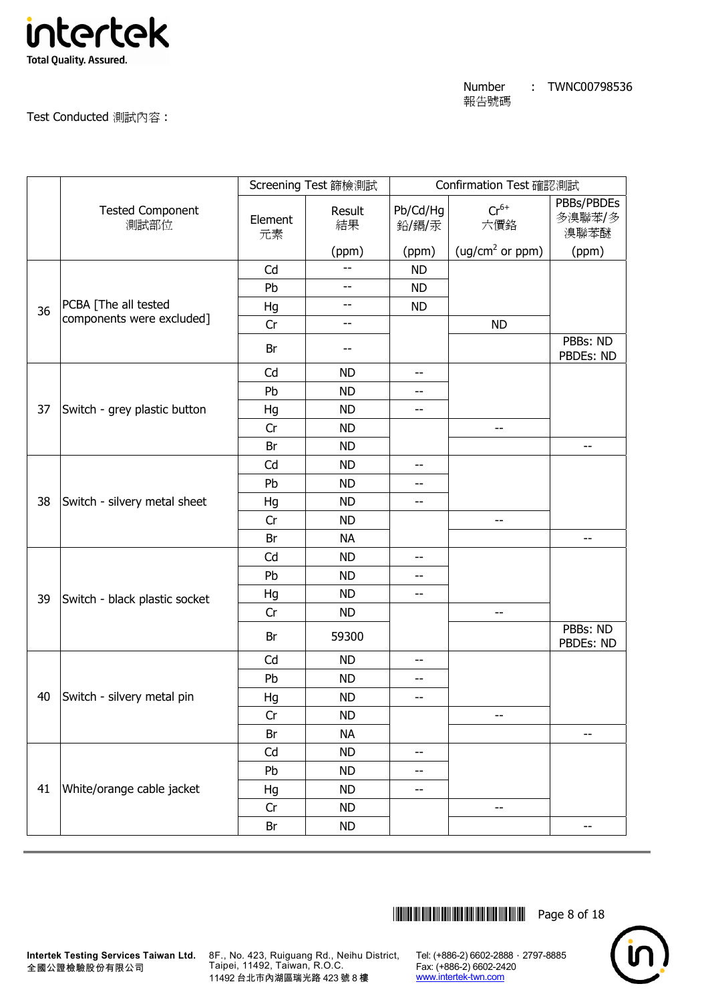

Test Conducted 測試內容 :

|    |                                 |               | Screening Test 篩檢測試 |                          | Confirmation Test 確認測試      |                              |
|----|---------------------------------|---------------|---------------------|--------------------------|-----------------------------|------------------------------|
|    | <b>Tested Component</b><br>測試部位 | Element<br>元素 | Result<br>結果        | Pb/Cd/Hg<br>鉛/鎘/汞        | $Cr^{6+}$<br>六價鉻            | PBBs/PBDEs<br>多溴聯苯/多<br>溴聯苯醚 |
|    |                                 |               | (ppm)               | (ppm)                    | (ug/cm <sup>2</sup> or ppm) | (ppm)                        |
|    |                                 | Cd            |                     | <b>ND</b>                |                             |                              |
|    |                                 | Pb            | --                  | <b>ND</b>                |                             |                              |
| 36 | PCBA [The all tested            | Hg            | --                  | <b>ND</b>                |                             |                              |
|    | components were excluded]       | Cr            | --                  |                          | <b>ND</b>                   |                              |
|    |                                 | Br            | --                  |                          |                             | PBBs: ND<br>PBDEs: ND        |
|    |                                 | Cd            | <b>ND</b>           | $\overline{\phantom{a}}$ |                             |                              |
|    |                                 | Pb            | <b>ND</b>           | --                       |                             |                              |
| 37 | Switch - grey plastic button    | Hg            | <b>ND</b>           | $-$                      |                             |                              |
|    |                                 | Cr            | <b>ND</b>           |                          | $- -$                       |                              |
|    |                                 | Br            | <b>ND</b>           |                          |                             | $-$                          |
|    |                                 | Cd            | <b>ND</b>           | $-\, -$                  |                             |                              |
|    |                                 | Pb            | <b>ND</b>           | --                       |                             |                              |
| 38 | Switch - silvery metal sheet    | Hg            | <b>ND</b>           | $-$                      |                             |                              |
|    |                                 | Cr            | <b>ND</b>           |                          | $-$                         |                              |
|    |                                 | Br            | <b>NA</b>           |                          |                             | --                           |
|    |                                 | Cd            | <b>ND</b>           | --                       |                             |                              |
|    |                                 | Pb            | <b>ND</b>           | $-$                      |                             |                              |
| 39 | Switch - black plastic socket   | Hg            | <b>ND</b>           | --                       |                             |                              |
|    |                                 | Cr            | <b>ND</b>           |                          | $-$                         |                              |
|    |                                 | Br            | 59300               |                          |                             | PBBs: ND<br>PBDEs: ND        |
|    |                                 | Cd            | <b>ND</b>           | $-$                      |                             |                              |
|    |                                 | Pb            | <b>ND</b>           | --                       |                             |                              |
| 40 | Switch - silvery metal pin      | Hg            | <b>ND</b>           | $-$                      |                             |                              |
|    |                                 | Cr            | <b>ND</b>           |                          | --                          |                              |
|    |                                 | Br            | <b>NA</b>           |                          |                             | --                           |
|    |                                 | Cd            | <b>ND</b>           | $-$                      |                             |                              |
|    |                                 | Pb            | <b>ND</b>           | --                       |                             |                              |
| 41 | White/orange cable jacket       | Hg            | <b>ND</b>           | --                       |                             |                              |
|    |                                 | Cr            | <b>ND</b>           |                          | $\overline{\phantom{a}}$    |                              |
|    |                                 | Br            | <b>ND</b>           |                          |                             | --                           |



**Intertek Testing Services Taiwan Ltd.** 8F., No. 423, Ruiguang Rd., Neihu District, Taipei, 11492, Taiwan, R.O.C. 11492 台北市內湖區瑞光路 423 號 8 樓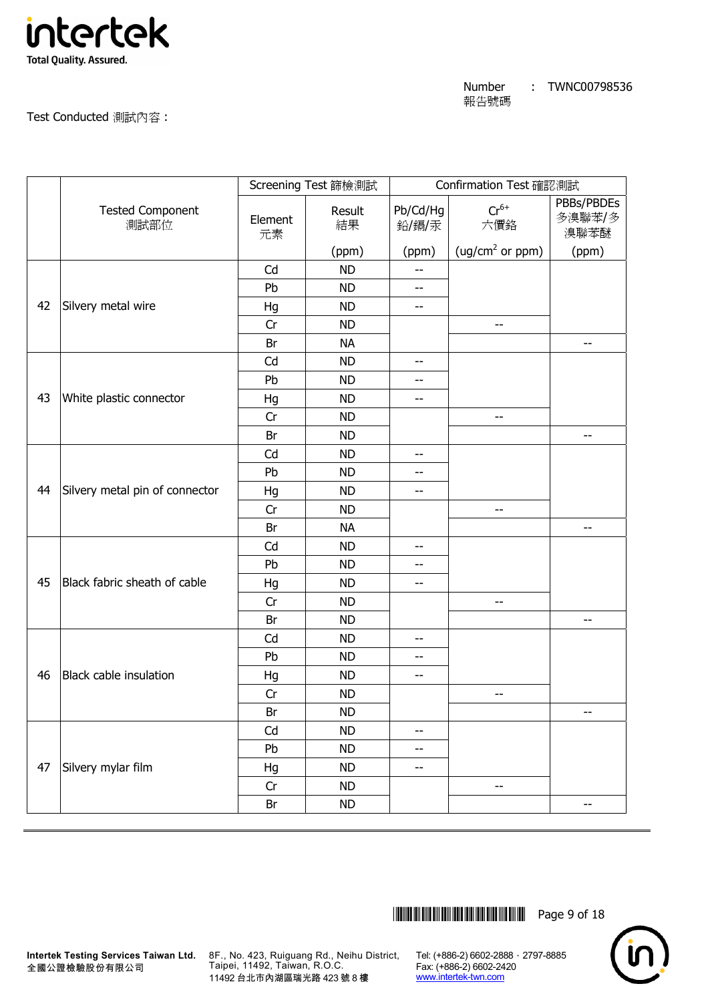

Test Conducted 測試內容 :

|    |                                 |               | Screening Test 篩檢測試 |                          | Confirmation Test 確認測試      |                              |
|----|---------------------------------|---------------|---------------------|--------------------------|-----------------------------|------------------------------|
|    | <b>Tested Component</b><br>測試部位 | Element<br>元素 | Result<br>結果        | Pb/Cd/Hg<br>鉛/鎘/汞        | $Cr^{6+}$<br>六價鉻            | PBBs/PBDEs<br>多溴聯苯/多<br>溴聯苯醚 |
|    |                                 |               | (ppm)               | (ppm)                    | (ug/cm <sup>2</sup> or ppm) | (ppm)                        |
|    |                                 | Cd            | <b>ND</b>           | $-$                      |                             |                              |
|    |                                 | Pb            | <b>ND</b>           | $\overline{\phantom{m}}$ |                             |                              |
| 42 | Silvery metal wire              | Hg            | <b>ND</b>           | $\overline{\phantom{a}}$ |                             |                              |
|    |                                 | Cr            | <b>ND</b>           |                          | --                          |                              |
|    |                                 | Br            | <b>NA</b>           |                          |                             | --                           |
|    |                                 | Cd            | <b>ND</b>           | $-$                      |                             |                              |
|    |                                 | Pb            | <b>ND</b>           | --                       |                             |                              |
| 43 | White plastic connector         | Hg            | <b>ND</b>           | --                       |                             |                              |
|    |                                 | Cr            | <b>ND</b>           |                          | $-$                         |                              |
|    |                                 | Br            | <b>ND</b>           |                          |                             | --                           |
|    |                                 | Cd            | <b>ND</b>           | $\overline{\phantom{m}}$ |                             |                              |
|    |                                 | Pb            | <b>ND</b>           | $\overline{\phantom{m}}$ |                             |                              |
| 44 | Silvery metal pin of connector  | Hg            | <b>ND</b>           | --                       |                             |                              |
|    |                                 | Cr            | <b>ND</b>           |                          | --                          |                              |
|    |                                 | Br            | <b>NA</b>           |                          |                             | $\overline{\phantom{m}}$     |
|    |                                 | Cd            | <b>ND</b>           | $-$                      |                             |                              |
|    |                                 | Pb            | <b>ND</b>           | $- -$                    |                             |                              |
| 45 | Black fabric sheath of cable    | Hg            | <b>ND</b>           | --                       |                             |                              |
|    |                                 | Cr            | <b>ND</b>           |                          | $\qquad \qquad -$           |                              |
|    |                                 | Br            | <b>ND</b>           |                          |                             | $-$                          |
|    |                                 | Cd            | <b>ND</b>           | $\overline{\phantom{m}}$ |                             |                              |
|    |                                 | Pb            | <b>ND</b>           | $- -$                    |                             |                              |
| 46 | Black cable insulation          | Hg            | <b>ND</b>           | $-$                      |                             |                              |
|    |                                 | Cr            | <b>ND</b>           |                          | $- -$                       |                              |
|    |                                 | Br            | <b>ND</b>           |                          |                             | $-\, -$                      |
|    |                                 | Cd            | <b>ND</b>           | $- -$                    |                             |                              |
|    |                                 | Pb            | <b>ND</b>           | $\overline{\phantom{m}}$ |                             |                              |
| 47 | Silvery mylar film              | Hg            | <b>ND</b>           | --                       |                             |                              |
|    |                                 | Cr            | <b>ND</b>           |                          | $- -$                       |                              |
|    |                                 | Br            | ND                  |                          |                             | $- -$                        |



8F., No. 423, Ruiguang Rd., Neihu District, Taipei, 11492, Taiwan, R.O.C. 11492 台北市內湖區瑞光路 423 號 8 樓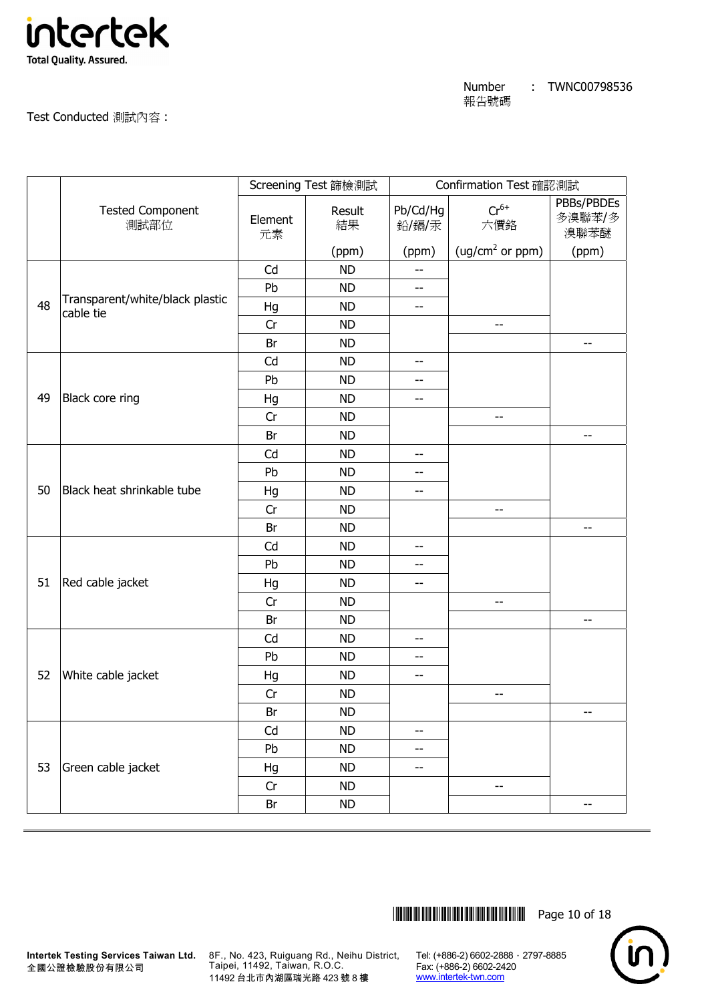

Test Conducted 測試內容 :

|    |                                              |               | Screening Test 篩檢測試 |                   | Confirmation Test 確認測試      |                              |
|----|----------------------------------------------|---------------|---------------------|-------------------|-----------------------------|------------------------------|
|    | <b>Tested Component</b><br>測試部位              | Element<br>元素 | Result<br>結果        | Pb/Cd/Hg<br>鉛/鎘/汞 | $Cr^{6+}$<br>六價鉻            | PBBs/PBDEs<br>多溴聯苯/多<br>溴聯苯醚 |
|    |                                              |               | (ppm)               | (ppm)             | (ug/cm <sup>2</sup> or ppm) | (ppm)                        |
|    |                                              | Cd            | <b>ND</b>           | --                |                             |                              |
|    |                                              | Pb            | <b>ND</b>           | $-$               |                             |                              |
| 48 | Transparent/white/black plastic<br>cable tie | Hg            | <b>ND</b>           | $- -$             |                             |                              |
|    |                                              | Cr            | <b>ND</b>           |                   | $-$                         |                              |
|    |                                              | Br            | <b>ND</b>           |                   |                             | $-$                          |
|    |                                              | Cd            | <b>ND</b>           | --                |                             |                              |
|    |                                              | Pb            | <b>ND</b>           | --                |                             |                              |
| 49 | Black core ring                              | Hg            | <b>ND</b>           | --                |                             |                              |
|    |                                              | Cr            | <b>ND</b>           |                   | $-$                         |                              |
|    |                                              | Br            | <b>ND</b>           |                   |                             | --                           |
|    |                                              | Cd            | <b>ND</b>           | $-$               |                             |                              |
|    |                                              | Pb            | <b>ND</b>           | --                |                             |                              |
| 50 | Black heat shrinkable tube                   | Hg            | <b>ND</b>           | --                |                             |                              |
|    |                                              | Cr            | <b>ND</b>           |                   | --                          |                              |
|    |                                              | Br            | <b>ND</b>           |                   |                             | $- -$                        |
|    |                                              | Cd            | <b>ND</b>           | $-$               |                             |                              |
|    |                                              | Pb            | <b>ND</b>           | --                |                             |                              |
| 51 | Red cable jacket                             | Hg            | <b>ND</b>           | --                |                             |                              |
|    |                                              | Cr            | <b>ND</b>           |                   | --                          |                              |
|    |                                              | Br            | <b>ND</b>           |                   |                             | $\overline{\phantom{m}}$     |
|    |                                              | Cd            | <b>ND</b>           | $-$               |                             |                              |
|    |                                              | Pb            | <b>ND</b>           | --                |                             |                              |
| 52 | White cable jacket                           | Hg            | <b>ND</b>           | --                |                             |                              |
|    |                                              | Cr            | <b>ND</b>           |                   | $ \!-$                      |                              |
|    |                                              | Br            | <b>ND</b>           |                   |                             | $-$                          |
|    |                                              | Cd            | <b>ND</b>           | $- -$             |                             |                              |
|    |                                              | Pb            | <b>ND</b>           | $- -$             |                             |                              |
| 53 | Green cable jacket                           | Hg            | <b>ND</b>           | $-$               |                             |                              |
|    |                                              | Cr            | <b>ND</b>           |                   | --                          |                              |
|    |                                              | Br            | <b>ND</b>           |                   |                             | --                           |

\*THJ0798536\* Page 10 of 18



8F., No. 423, Ruiguang Rd., Neihu District, Taipei, 11492, Taiwan, R.O.C. 11492 台北市內湖區瑞光路 423 號 8 樓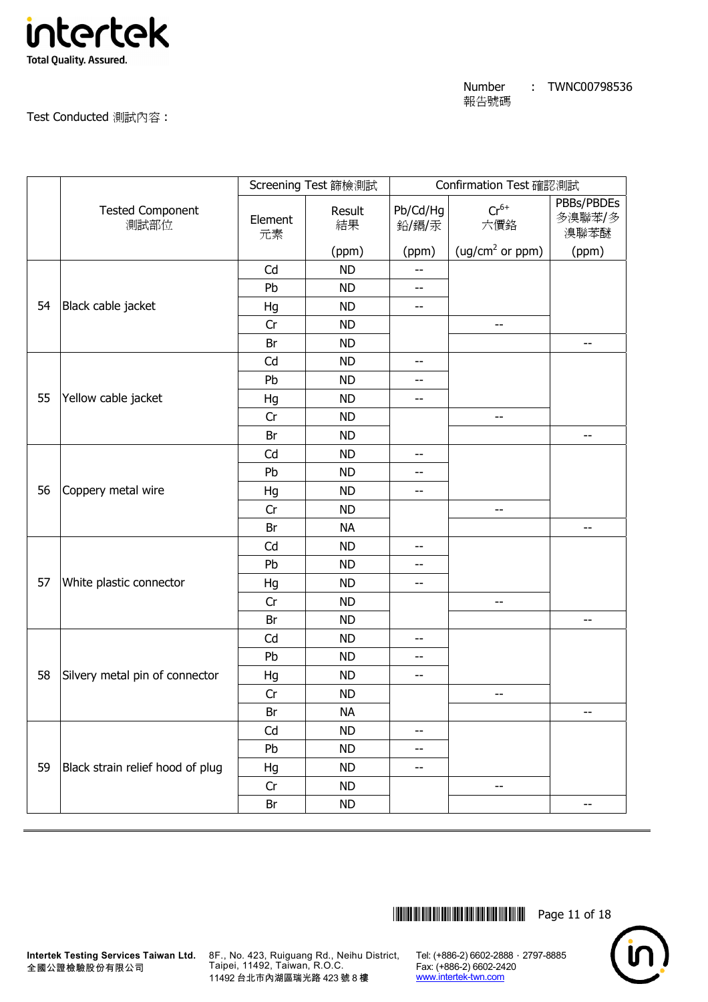

Test Conducted 測試內容 :

|    |                                  |               | Screening Test 篩檢測試 |                   | Confirmation Test 確認測試      |                              |
|----|----------------------------------|---------------|---------------------|-------------------|-----------------------------|------------------------------|
|    | <b>Tested Component</b><br>測試部位  | Element<br>元素 | Result<br>結果        | Pb/Cd/Hg<br>鉛/鎘/汞 | $Cr^{6+}$<br>六價鉻            | PBBs/PBDEs<br>多溴聯苯/多<br>溴聯苯醚 |
|    |                                  |               | (ppm)               | (ppm)             | (ug/cm <sup>2</sup> or ppm) | (ppm)                        |
|    |                                  | Cd            | <b>ND</b>           | --                |                             |                              |
|    |                                  | Pb            | <b>ND</b>           | $-$               |                             |                              |
| 54 | Black cable jacket               | Hg            | <b>ND</b>           | $- -$             |                             |                              |
|    |                                  | Cr            | <b>ND</b>           |                   | --                          |                              |
|    |                                  | Br            | <b>ND</b>           |                   |                             | $-$                          |
|    |                                  | Cd            | <b>ND</b>           | --                |                             |                              |
|    |                                  | Pb            | <b>ND</b>           | --                |                             |                              |
| 55 | Yellow cable jacket              | Hg            | <b>ND</b>           | $- -$             |                             |                              |
|    |                                  | Cr            | <b>ND</b>           |                   | --                          |                              |
|    |                                  | Br            | <b>ND</b>           |                   |                             | $\overline{\phantom{a}}$     |
|    |                                  | Cd            | <b>ND</b>           | $-$               |                             |                              |
|    |                                  | Pb            | <b>ND</b>           | --                |                             |                              |
| 56 | Coppery metal wire               | Hg            | <b>ND</b>           | --                |                             |                              |
|    |                                  | Cr            | <b>ND</b>           |                   | --                          |                              |
|    |                                  | Br            | <b>NA</b>           |                   |                             | --                           |
|    |                                  | Cd            | <b>ND</b>           | $-$               |                             |                              |
|    |                                  | Pb            | <b>ND</b>           | $- -$             |                             |                              |
| 57 | White plastic connector          | Hg            | <b>ND</b>           | --                |                             |                              |
|    |                                  | Cr            | <b>ND</b>           |                   | --                          |                              |
|    |                                  | Br            | <b>ND</b>           |                   |                             | $\overline{\phantom{m}}$     |
|    |                                  | Cd            | <b>ND</b>           | --                |                             |                              |
|    |                                  | Pb            | <b>ND</b>           | --                |                             |                              |
| 58 | Silvery metal pin of connector   | Hg            | <b>ND</b>           | $- -$             |                             |                              |
|    |                                  | Cr            | <b>ND</b>           |                   | $ \!-$                      |                              |
|    |                                  | Br            | <b>NA</b>           |                   |                             | $-$                          |
|    |                                  | Cd            | <b>ND</b>           | $-$               |                             |                              |
|    |                                  | Pb            | <b>ND</b>           | --                |                             |                              |
| 59 | Black strain relief hood of plug | Hg            | <b>ND</b>           | --                |                             |                              |
|    |                                  | Cr            | <b>ND</b>           |                   | --                          |                              |
|    |                                  | Br            | <b>ND</b>           |                   |                             | $-$                          |

\*THJ0798536\* Page 11 of 18



**Intertek Testing Services Taiwan Ltd.** 全國公證檢驗股份有限公司

8F., No. 423, Ruiguang Rd., Neihu District, Taipei, 11492, Taiwan, R.O.C. 11492 台北市內湖區瑞光路 423 號 8 樓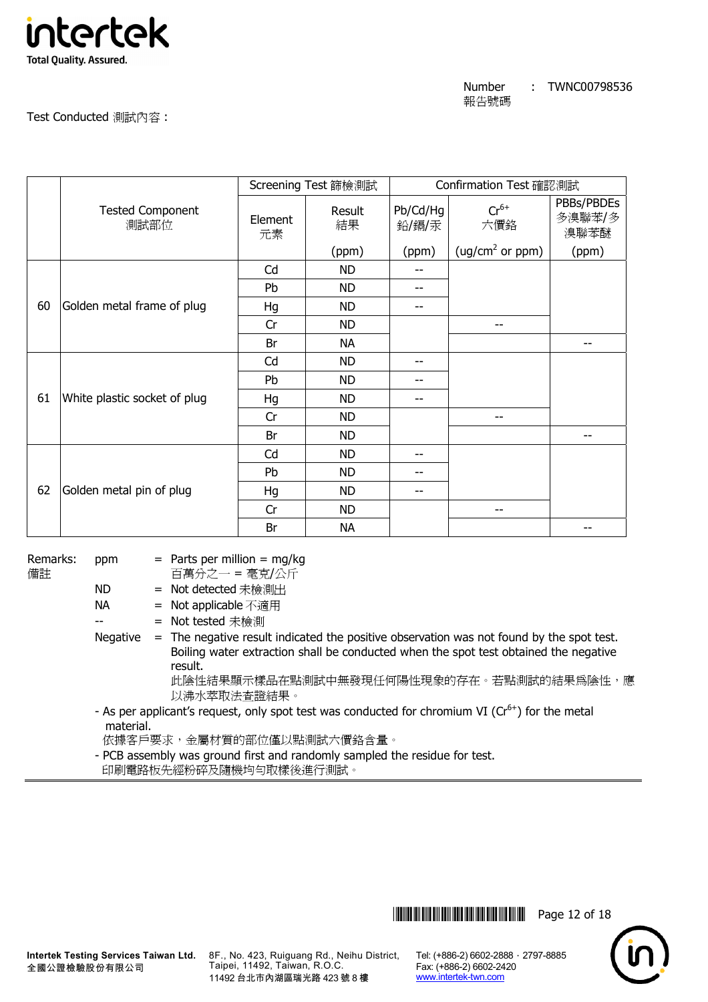

Test Conducted 測試內容 :

|    |                                 |               | Screening Test 篩檢測試 | Confirmation Test 確認測試 |                             |                              |
|----|---------------------------------|---------------|---------------------|------------------------|-----------------------------|------------------------------|
|    | <b>Tested Component</b><br>測試部位 | Element<br>元素 | Result<br>結果        | Pb/Cd/Hg<br>鉛/鎘/汞      | $Cr^{6+}$<br>六價鉻            | PBBs/PBDEs<br>多溴聯苯/多<br>溴聯苯醚 |
|    |                                 |               | (ppm)               | (ppm)                  | (ug/cm <sup>2</sup> or ppm) | (ppm)                        |
|    |                                 | Cd            | <b>ND</b>           |                        |                             |                              |
|    |                                 | Pb            | <b>ND</b>           |                        |                             |                              |
| 60 | Golden metal frame of plug      | Hg            | <b>ND</b>           |                        |                             |                              |
|    |                                 | Cr            | <b>ND</b>           |                        |                             |                              |
|    |                                 | Br            | <b>NA</b>           |                        |                             |                              |
|    |                                 | Cd            | <b>ND</b>           | --                     |                             |                              |
|    |                                 | Pb            | <b>ND</b>           | --                     |                             |                              |
| 61 | White plastic socket of plug    | Hg            | <b>ND</b>           | --                     |                             |                              |
|    |                                 | Cr            | <b>ND</b>           |                        | --                          |                              |
|    |                                 | Br            | <b>ND</b>           |                        |                             | --                           |
|    |                                 | Cd            | <b>ND</b>           | --                     |                             |                              |
|    |                                 | Pb            | <b>ND</b>           |                        |                             |                              |
| 62 | Golden metal pin of plug        | Hg            | <b>ND</b>           | --                     |                             |                              |
|    |                                 | Cr            | <b>ND</b>           |                        |                             |                              |
|    |                                 | Br            | <b>NA</b>           |                        |                             |                              |

Remarks: 備註

ppm  $=$  Parts per million  $=$  mg/kg

百萬分之一 = 毫克/公斤

ND = Not detected 未檢測出

NA = Not applicable 不適用

-- = Not tested 未檢測

Negative  $=$  The negative result indicated the positive observation was not found by the spot test. Boiling water extraction shall be conducted when the spot test obtained the negative result. 此陰性結果顯示樣品在點測試中無發現任何陽性現象的存在。若點測試的結果為陰性,應

以沸水萃取法查證結果。

- As per applicant's request, only spot test was conducted for chromium VI (Cr<sup>6+</sup>) for the metal material.

依據客戶要求,金屬材質的部位僅以點測試六價鉻含量。

 - PCB assembly was ground first and randomly sampled the residue for test. 印刷電路板先經粉碎及隨機均勻取樣後進行測試。

**Intertek Testing Services Taiwan Ltd.** 全國公證檢驗股份有限公司

8F., No. 423, Ruiguang Rd., Neihu District, Taipei, 11492, Taiwan, R.O.C. 11492 台北市內湖區瑞光路 423 號 8 樓

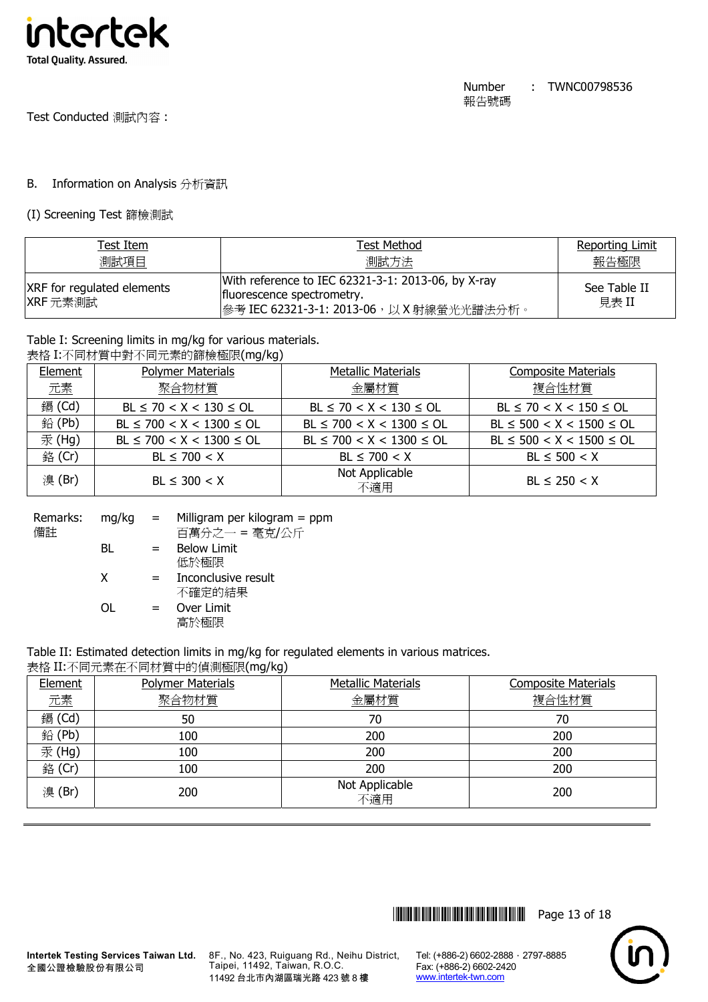

## B. Information on Analysis 分析資訊

(I) Screening Test 篩檢測試

| Test Item                                     | Test Method                                                                                                                    | <b>Reporting Limit</b> |
|-----------------------------------------------|--------------------------------------------------------------------------------------------------------------------------------|------------------------|
| 測試項目                                          | 測試方法                                                                                                                           | 報告極限                   |
| <b>XRF</b> for regulated elements<br>XRF 元素測試 | With reference to IEC 62321-3-1: 2013-06, by X-ray<br>fluorescence spectrometry.<br> 參考 IEC 62321-3-1: 2013-06, 以 X 射線螢光光譜法分析。 | See Table II<br>見表 II  |

# Table I: Screening limits in mg/kg for various materials.

|         | 表格 I:不同材質中對不同元素的篩檢極限(mg/kg) |      |
|---------|-----------------------------|------|
| Flement | <b>Polymer Materials</b>    | Met: |

| Element | <b>Polymer Materials</b>       | Metallic Materials             | <b>Composite Materials</b>     |
|---------|--------------------------------|--------------------------------|--------------------------------|
| 元素      | 聚合物材質                          | 金屬材質                           | 複合性材質                          |
| 鎘 (Cd)  | $BL \le 70 < X < 130 \le OL$   | $BL \le 70 < X < 130 \le OL$   | $BL \le 70 < X < 150 \le OL$   |
| 鉛(Pb)   | $BL \le 700 < X < 1300 \le OL$ | $BL \le 700 < X < 1300 \le OL$ | $BL \le 500 < X < 1500 \le OL$ |
| 汞(Hg)   | $BL \le 700 < X < 1300 \le OL$ | $BL \le 700 < X < 1300 \le OL$ | $BL \le 500 < X < 1500 \le OL$ |
| 銘 (Cr)  | $BL \le 700 < X$               | $BL \le 700 < X$               | $BL \le 500 < X$               |
| 溴(Br)   | $BL \leq 300 < X$              | Not Applicable<br>不適用          | $BL \le 250 < X$               |

| Remarks: | $mq/kg =$ |     | Milligram per kilogram $=$ ppm |
|----------|-----------|-----|--------------------------------|
| 備註       |           |     | 百萬分之一 = 毫克/公斤                  |
|          | BL        | $=$ | <b>Below Limit</b>             |
|          |           |     | 低於極限                           |
|          | x         | $=$ | Inconclusive result            |
|          |           |     | 不確定的結果                         |
|          | ΩL        | $=$ | Over Limit                     |
|          |           |     | 高於極限                           |
|          |           |     |                                |

Table II: Estimated detection limits in mg/kg for regulated elements in various matrices.

| 表格 II:不同元素在不同材質中的偵測極限(mg/kg) |  |
|------------------------------|--|
|------------------------------|--|

| Element | <b>Polymer Materials</b> | <b>Metallic Materials</b> | <b>Composite Materials</b> |
|---------|--------------------------|---------------------------|----------------------------|
| 元素      | 聚合物材質                    | 金屬材質                      | 複合性材質                      |
| 鎘 (Cd)  | 50                       | 70                        | 70                         |
| 鉛 (Pb)  | 100                      | 200                       | 200                        |
| 汞(Hg)   | 100                      | 200                       | 200                        |
| 銘 (Cr)  | 100                      | 200                       | 200                        |
| 溴(Br)   | 200                      | Not Applicable<br>不適用     | 200                        |



8F., No. 423, Ruiguang Rd., Neihu District, Taipei, 11492, Taiwan, R.O.C. 11492 台北市內湖區瑞光路 423 號 8 樓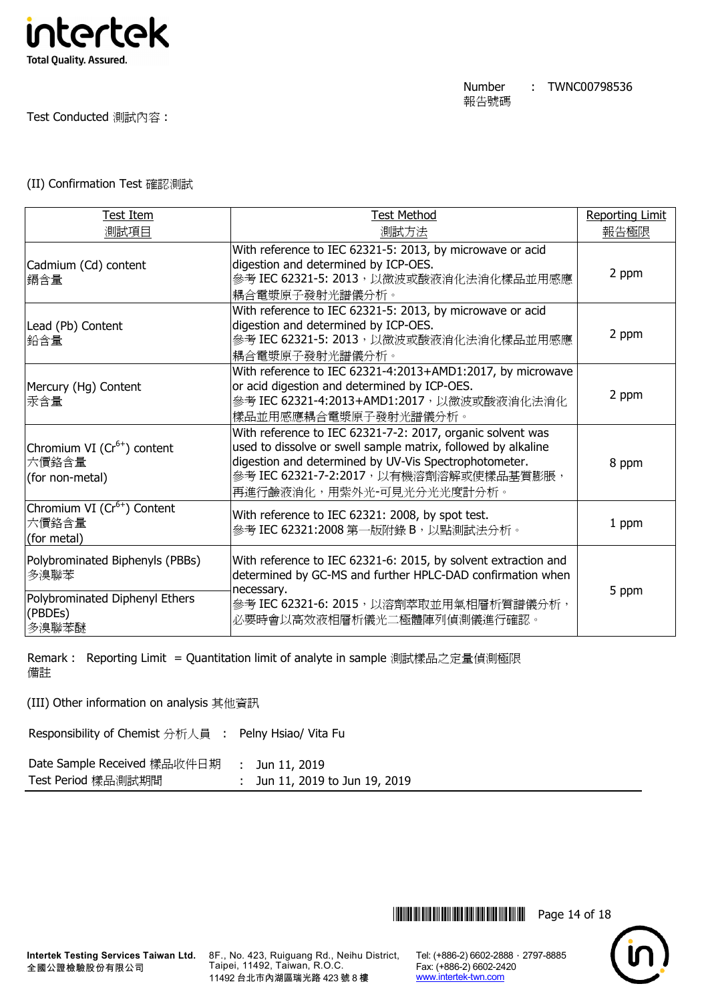

Test Conducted 測試內容 :

## (II) Confirmation Test 確認測試

| <b>Test Item</b>                                                                              | <b>Test Method</b>                                                                                                                                                                                                                                          | <b>Reporting Limit</b> |
|-----------------------------------------------------------------------------------------------|-------------------------------------------------------------------------------------------------------------------------------------------------------------------------------------------------------------------------------------------------------------|------------------------|
| 測試項目                                                                                          | 測試方法                                                                                                                                                                                                                                                        | 報告極限                   |
| Cadmium (Cd) content<br>鎘含量                                                                   | With reference to IEC 62321-5: 2013, by microwave or acid<br>digestion and determined by ICP-OES.<br>參考 IEC 62321-5: 2013, 以微波或酸液消化法消化樣品並用感應<br>耦合電漿原子發射光譜儀分析。                                                                                              | 2 ppm                  |
| Lead (Pb) Content<br>鉛含量                                                                      | With reference to IEC 62321-5: 2013, by microwave or acid<br>digestion and determined by ICP-OES.<br>參考 IEC 62321-5: 2013, 以微波或酸液消化法消化樣品並用感應<br>耦合電漿原子發射光譜儀分析。                                                                                              | 2 ppm                  |
| Mercury (Hg) Content<br>汞含量                                                                   | With reference to IEC 62321-4:2013+AMD1:2017, by microwave<br>or acid digestion and determined by ICP-OES.<br>參考 IEC 62321-4:2013+AMD1:2017, 以微波或酸液消化法消化<br>樣品並用感應耦合電漿原子發射光譜儀分析。                                                                            | 2 ppm                  |
| Chromium VI (Cr <sup>6+</sup> ) content<br>六價鉻含量<br>(for non-metal)                           | With reference to IEC 62321-7-2: 2017, organic solvent was<br>used to dissolve or swell sample matrix, followed by alkaline<br>digestion and determined by UV-Vis Spectrophotometer.<br>參考 IEC 62321-7-2:2017, 以有機溶劑溶解或使樣品基質膨脹,<br>再進行鹼液消化,用紫外光-可見光分光光度計分析。 | 8 ppm                  |
| Chromium VI (Cr <sup>6+</sup> ) Content<br>六價鉻含量<br>(for metal)                               | With reference to IEC 62321: 2008, by spot test.<br>參考 IEC 62321:2008 第一版附錄 B, 以點測試法分析。                                                                                                                                                                     | 1 ppm                  |
| Polybrominated Biphenyls (PBBs)<br>多溴聯苯<br>Polybrominated Diphenyl Ethers<br>(PBDEs)<br>多溴聯苯醚 | With reference to IEC 62321-6: 2015, by solvent extraction and<br>determined by GC-MS and further HPLC-DAD confirmation when<br>necessary.<br>參考 IEC 62321-6: 2015, 以溶劑萃取並用氣相層析質譜儀分析,<br>必要時會以高效液相層析儀光二極體陣列偵測儀進行確認。                                         | 5 ppm                  |

Remark : Reporting Limit = Quantitation limit of analyte in sample 測試樣品之定量偵測極限 備註

(III) Other information on analysis 其他資訊

Responsibility of Chemist 分析人員 : Pelny Hsiao/ Vita Fu

| Date Sample Received 樣品收件日期 | : Jun 11, 2019                 |
|-----------------------------|--------------------------------|
| Test Period 樣品測試期間          | : Jun 11, 2019 to Jun 19, 2019 |

**Intertek Testing Services Taiwan Ltd.** 全國公證檢驗股份有限公司

8F., No. 423, Ruiguang Rd., Neihu District, Taipei, 11492, Taiwan, R.O.C. 11492 台北市內湖區瑞光路 423 號 8 樓

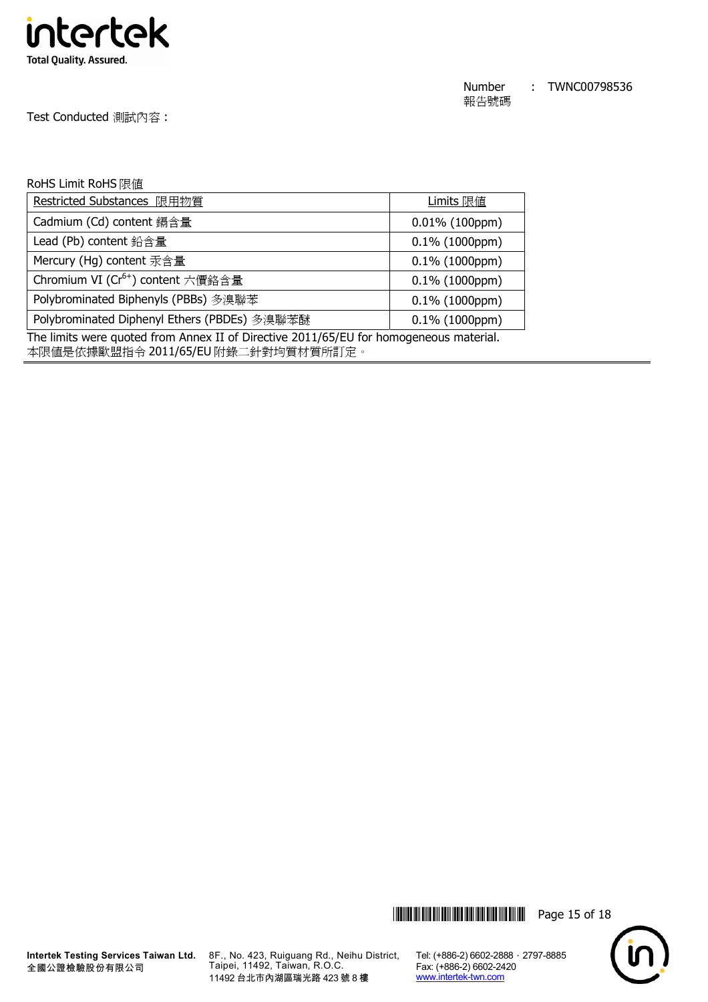

Test Conducted 測試內容 :

#### RoHS Limit RoHS 限值

| Restricted Substances 限用物質                                                                                                                                                         | Limits 限值         |  |
|------------------------------------------------------------------------------------------------------------------------------------------------------------------------------------|-------------------|--|
| Cadmium (Cd) content 鎘含量                                                                                                                                                           | $0.01\%$ (100ppm) |  |
| Lead (Pb) content 鉛含量                                                                                                                                                              | $0.1\%$ (1000ppm) |  |
| Mercury (Hg) content 汞含量                                                                                                                                                           | $0.1\%$ (1000ppm) |  |
| Chromium VI (Cr <sup>6+</sup> ) content 六價鉻含量                                                                                                                                      | $0.1\%$ (1000ppm) |  |
| Polybrominated Biphenyls (PBBs) 多溴聯苯                                                                                                                                               | $0.1\%$ (1000ppm) |  |
| Polybrominated Diphenyl Ethers (PBDEs) 多溴聯苯醚                                                                                                                                       | $0.1\%$ (1000ppm) |  |
| The limits were quoted from Annex II of Directive 2011/65/EU for homogeneous material.<br>▝▗▆▅▕▃▙▗▅▏▝▐▖▙▙▅▘▅▅▐▚▘ <b>▕▏▗▖▞▗▗▕▞▅▕▅▏▏</b> ቑ▞▐▐ <sup></sup> ▆▁▂▖▞▐▕▓▞▐▝▁▙▙▝▕▝▙▙▞▞▚▅▗▙▁ |                   |  |

本限值是依據歐盟指令 2011/65/EU 附錄二針對均質材質所訂定。





**Intertek Testing Services Taiwan Ltd.** 8F., No. 423, Ruiguang Rd., Neihu District, Taipei, 11492, Taiwan, R.O.C. 11492 台北市內湖區瑞光路 423 號 8 樓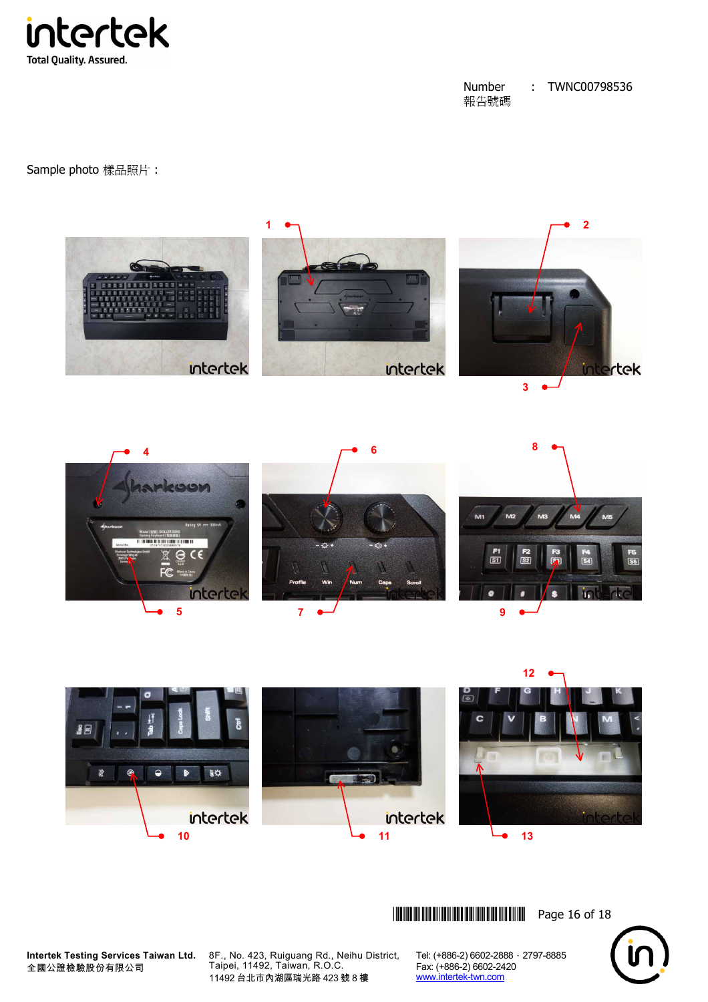

Sample photo 樣品照片 :







**Intertek Testing Services Taiwan Ltd.** 全國公證檢驗股份有限公司

8F., No. 423, Ruiguang Rd., Neihu District, Taipei, 11492, Taiwan, R.O.C. 11492 台北市內湖區瑞光路 423 號 8 樓

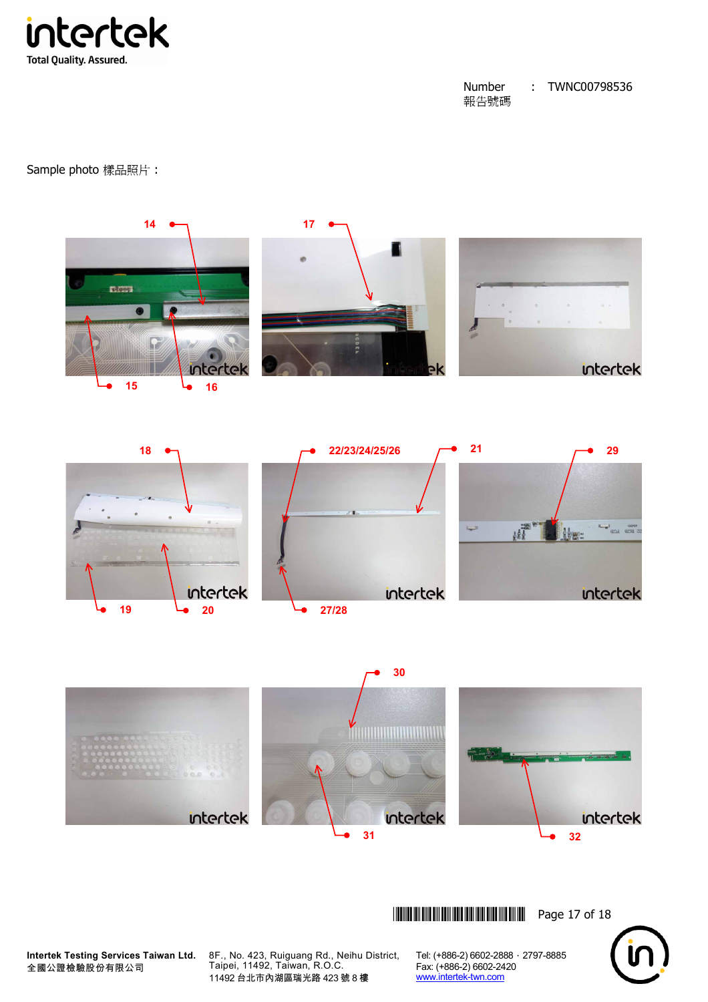intertek **Total Quality. Assured.** 

#### Number 報告號碼 : TWNC00798536

Sample photo 樣品照片 :







**Intertek Testing Services Taiwan Ltd.** 全國公證檢驗股份有限公司

8F., No. 423, Ruiguang Rd., Neihu District, Taipei, 11492, Taiwan, R.O.C. 11492 台北市內湖區瑞光路 423 號 8 樓